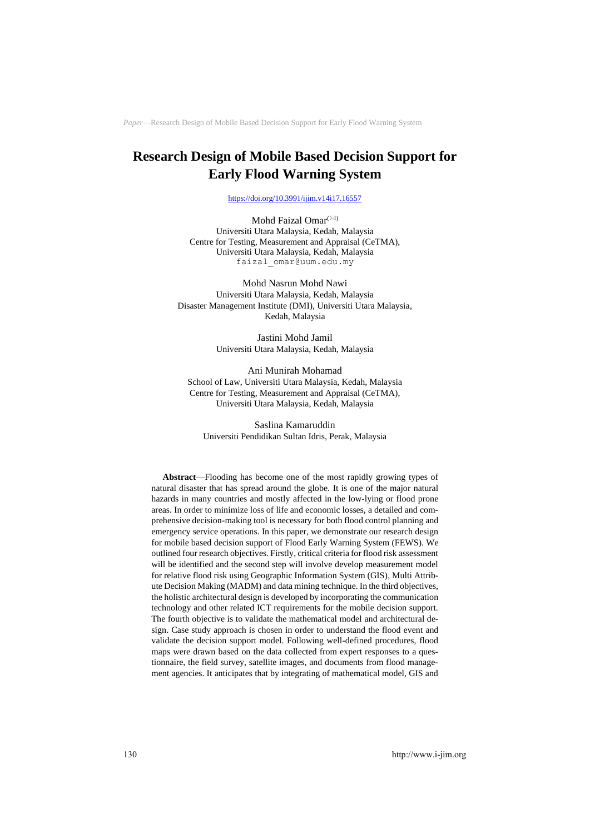# **Research Design of Mobile Based Decision Support for Early Flood Warning System**

<https://doi.org/10.3991/ijim.v14i17.16557>

Mohd Faizal Omar<sup>(20)</sup> Universiti Utara Malaysia, Kedah, Malaysia Centre for Testing, Measurement and Appraisal (CeTMA), Universiti Utara Malaysia, Kedah, Malaysia faizal\_omar@uum.edu.my

Mohd Nasrun Mohd Nawi Universiti Utara Malaysia, Kedah, Malaysia Disaster Management Institute (DMI), Universiti Utara Malaysia, Kedah, Malaysia

> Jastini Mohd Jamil Universiti Utara Malaysia, Kedah, Malaysia

Ani Munirah Mohamad School of Law, Universiti Utara Malaysia, Kedah, Malaysia Centre for Testing, Measurement and Appraisal (CeTMA), Universiti Utara Malaysia, Kedah, Malaysia

Saslina Kamaruddin Universiti Pendidikan Sultan Idris, Perak, Malaysia

**Abstract**—Flooding has become one of the most rapidly growing types of natural disaster that has spread around the globe. It is one of the major natural hazards in many countries and mostly affected in the low-lying or flood prone areas. In order to minimize loss of life and economic losses, a detailed and comprehensive decision-making tool is necessary for both flood control planning and emergency service operations. In this paper, we demonstrate our research design for mobile based decision support of Flood Early Warning System (FEWS). We outlined four research objectives. Firstly, critical criteria for flood risk assessment will be identified and the second step will involve develop measurement model for relative flood risk using Geographic Information System (GIS), Multi Attribute Decision Making (MADM) and data mining technique. In the third objectives, the holistic architectural design is developed by incorporating the communication technology and other related ICT requirements for the mobile decision support. The fourth objective is to validate the mathematical model and architectural design. Case study approach is chosen in order to understand the flood event and validate the decision support model. Following well-defined procedures, flood maps were drawn based on the data collected from expert responses to a questionnaire, the field survey, satellite images, and documents from flood management agencies. It anticipates that by integrating of mathematical model, GIS and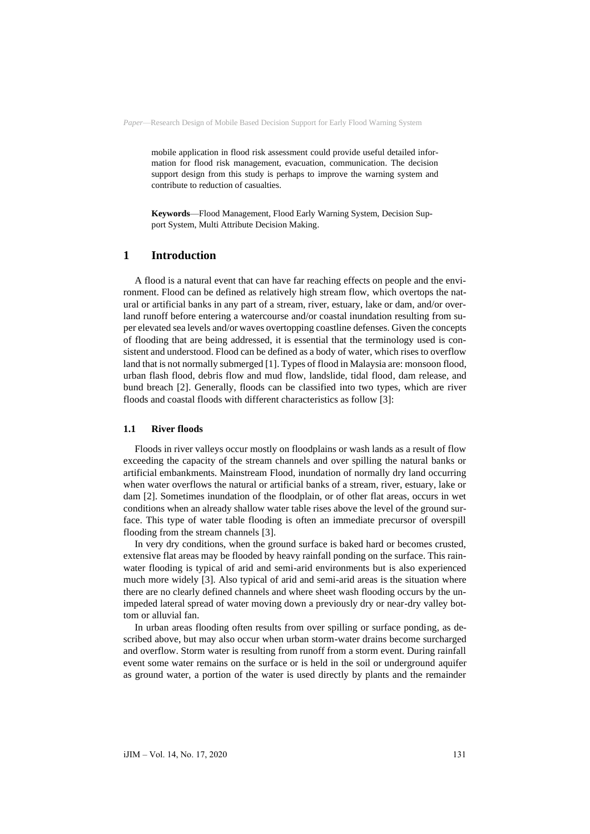mobile application in flood risk assessment could provide useful detailed information for flood risk management, evacuation, communication. The decision support design from this study is perhaps to improve the warning system and contribute to reduction of casualties.

**Keywords**—Flood Management, Flood Early Warning System, Decision Support System, Multi Attribute Decision Making.

## **1 Introduction**

A flood is a natural event that can have far reaching effects on people and the environment. Flood can be defined as relatively high stream flow, which overtops the natural or artificial banks in any part of a stream, river, estuary, lake or dam, and/or overland runoff before entering a watercourse and/or coastal inundation resulting from super elevated sea levels and/or waves overtopping coastline defenses. Given the concepts of flooding that are being addressed, it is essential that the terminology used is consistent and understood. Flood can be defined as a body of water, which rises to overflow land that is not normally submerged [1]. Types of flood in Malaysia are: monsoon flood, urban flash flood, debris flow and mud flow, landslide, tidal flood, dam release, and bund breach [2]. Generally, floods can be classified into two types, which are river floods and coastal floods with different characteristics as follow [3]:

### **1.1 River floods**

Floods in river valleys occur mostly on floodplains or wash lands as a result of flow exceeding the capacity of the stream channels and over spilling the natural banks or artificial embankments. Mainstream Flood, inundation of normally dry land occurring when water overflows the natural or artificial banks of a stream, river, estuary, lake or dam [2]. Sometimes inundation of the floodplain, or of other flat areas, occurs in wet conditions when an already shallow water table rises above the level of the ground surface. This type of water table flooding is often an immediate precursor of overspill flooding from the stream channels [3].

In very dry conditions, when the ground surface is baked hard or becomes crusted, extensive flat areas may be flooded by heavy rainfall ponding on the surface. This rainwater flooding is typical of arid and semi-arid environments but is also experienced much more widely [3]. Also typical of arid and semi-arid areas is the situation where there are no clearly defined channels and where sheet wash flooding occurs by the unimpeded lateral spread of water moving down a previously dry or near-dry valley bottom or alluvial fan.

In urban areas flooding often results from over spilling or surface ponding, as described above, but may also occur when urban storm-water drains become surcharged and overflow. Storm water is resulting from runoff from a storm event. During rainfall event some water remains on the surface or is held in the soil or underground aquifer as ground water, a portion of the water is used directly by plants and the remainder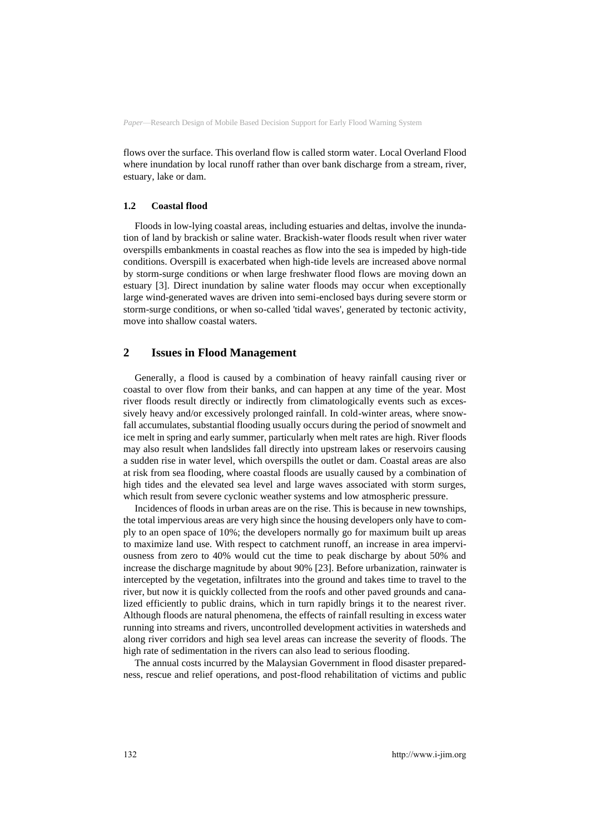flows over the surface. This overland flow is called storm water. Local Overland Flood where inundation by local runoff rather than over bank discharge from a stream, river, estuary, lake or dam.

### **1.2 Coastal flood**

Floods in low-lying coastal areas, including estuaries and deltas, involve the inundation of land by brackish or saline water. Brackish-water floods result when river water overspills embankments in coastal reaches as flow into the sea is impeded by high-tide conditions. Overspill is exacerbated when high-tide levels are increased above normal by storm-surge conditions or when large freshwater flood flows are moving down an estuary [3]. Direct inundation by saline water floods may occur when exceptionally large wind-generated waves are driven into semi-enclosed bays during severe storm or storm-surge conditions, or when so-called 'tidal waves', generated by tectonic activity, move into shallow coastal waters.

## **2 Issues in Flood Management**

Generally, a flood is caused by a combination of heavy rainfall causing river or coastal to over flow from their banks, and can happen at any time of the year. Most river floods result directly or indirectly from climatologically events such as excessively heavy and/or excessively prolonged rainfall. In cold-winter areas, where snowfall accumulates, substantial flooding usually occurs during the period of snowmelt and ice melt in spring and early summer, particularly when melt rates are high. River floods may also result when landslides fall directly into upstream lakes or reservoirs causing a sudden rise in water level, which overspills the outlet or dam. Coastal areas are also at risk from sea flooding, where coastal floods are usually caused by a combination of high tides and the elevated sea level and large waves associated with storm surges, which result from severe cyclonic weather systems and low atmospheric pressure.

Incidences of floods in urban areas are on the rise. This is because in new townships, the total impervious areas are very high since the housing developers only have to comply to an open space of 10%; the developers normally go for maximum built up areas to maximize land use. With respect to catchment runoff, an increase in area imperviousness from zero to 40% would cut the time to peak discharge by about 50% and increase the discharge magnitude by about 90% [23]. Before urbanization, rainwater is intercepted by the vegetation, infiltrates into the ground and takes time to travel to the river, but now it is quickly collected from the roofs and other paved grounds and canalized efficiently to public drains, which in turn rapidly brings it to the nearest river. Although floods are natural phenomena, the effects of rainfall resulting in excess water running into streams and rivers, uncontrolled development activities in watersheds and along river corridors and high sea level areas can increase the severity of floods. The high rate of sedimentation in the rivers can also lead to serious flooding.

The annual costs incurred by the Malaysian Government in flood disaster preparedness, rescue and relief operations, and post-flood rehabilitation of victims and public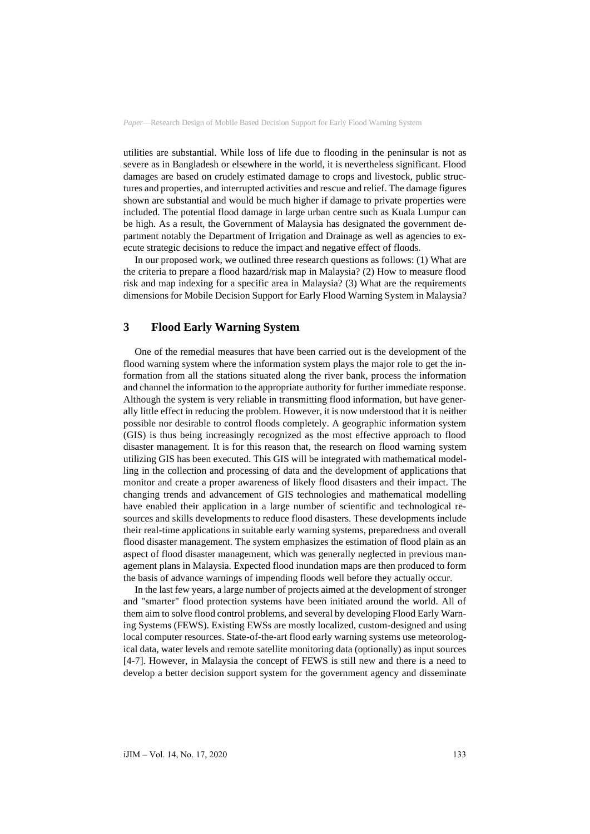utilities are substantial. While loss of life due to flooding in the peninsular is not as severe as in Bangladesh or elsewhere in the world, it is nevertheless significant. Flood damages are based on crudely estimated damage to crops and livestock, public structures and properties, and interrupted activities and rescue and relief. The damage figures shown are substantial and would be much higher if damage to private properties were included. The potential flood damage in large urban centre such as Kuala Lumpur can be high. As a result, the Government of Malaysia has designated the government department notably the Department of Irrigation and Drainage as well as agencies to execute strategic decisions to reduce the impact and negative effect of floods.

In our proposed work, we outlined three research questions as follows: (1) What are the criteria to prepare a flood hazard/risk map in Malaysia? (2) How to measure flood risk and map indexing for a specific area in Malaysia? (3) What are the requirements dimensions for Mobile Decision Support for Early Flood Warning System in Malaysia?

## **3 Flood Early Warning System**

One of the remedial measures that have been carried out is the development of the flood warning system where the information system plays the major role to get the information from all the stations situated along the river bank, process the information and channel the information to the appropriate authority for further immediate response. Although the system is very reliable in transmitting flood information, but have generally little effect in reducing the problem. However, it is now understood that it is neither possible nor desirable to control floods completely. A geographic information system (GIS) is thus being increasingly recognized as the most effective approach to flood disaster management. It is for this reason that, the research on flood warning system utilizing GIS has been executed. This GIS will be integrated with mathematical modelling in the collection and processing of data and the development of applications that monitor and create a proper awareness of likely flood disasters and their impact. The changing trends and advancement of GIS technologies and mathematical modelling have enabled their application in a large number of scientific and technological resources and skills developments to reduce flood disasters. These developments include their real-time applications in suitable early warning systems, preparedness and overall flood disaster management. The system emphasizes the estimation of flood plain as an aspect of flood disaster management, which was generally neglected in previous management plans in Malaysia. Expected flood inundation maps are then produced to form the basis of advance warnings of impending floods well before they actually occur.

In the last few years, a large number of projects aimed at the development of stronger and "smarter" flood protection systems have been initiated around the world. All of them aim to solve flood control problems, and several by developing Flood Early Warning Systems (FEWS). Existing EWSs are mostly localized, custom-designed and using local computer resources. State-of-the-art flood early warning systems use meteorological data, water levels and remote satellite monitoring data (optionally) as input sources [4-7]. However, in Malaysia the concept of FEWS is still new and there is a need to develop a better decision support system for the government agency and disseminate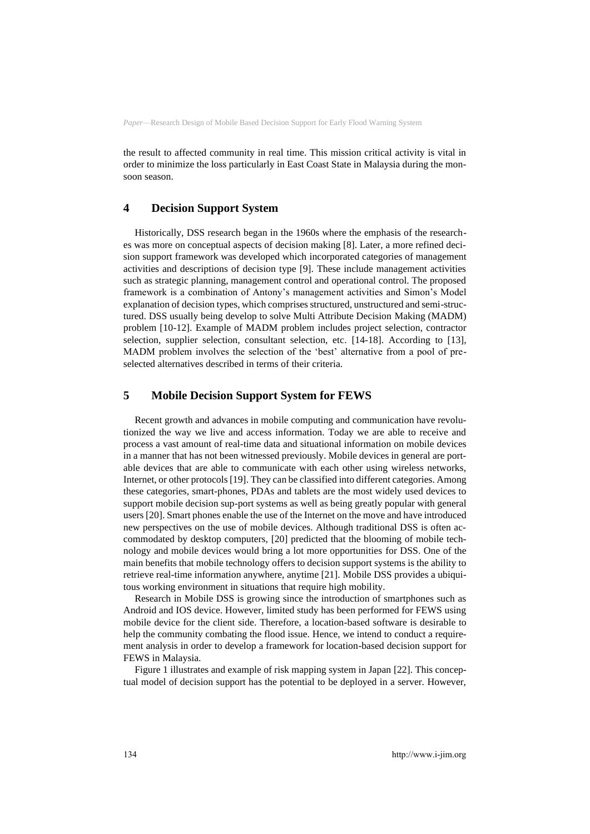the result to affected community in real time. This mission critical activity is vital in order to minimize the loss particularly in East Coast State in Malaysia during the monsoon season.

## **4 Decision Support System**

Historically, DSS research began in the 1960s where the emphasis of the researches was more on conceptual aspects of decision making [8]. Later, a more refined decision support framework was developed which incorporated categories of management activities and descriptions of decision type [9]. These include management activities such as strategic planning, management control and operational control. The proposed framework is a combination of Antony's management activities and Simon's Model explanation of decision types, which comprises structured, unstructured and semi-structured. DSS usually being develop to solve Multi Attribute Decision Making (MADM) problem [10-12]. Example of MADM problem includes project selection, contractor selection, supplier selection, consultant selection, etc. [14-18]. According to [13], MADM problem involves the selection of the 'best' alternative from a pool of preselected alternatives described in terms of their criteria.

### **5 Mobile Decision Support System for FEWS**

Recent growth and advances in mobile computing and communication have revolutionized the way we live and access information. Today we are able to receive and process a vast amount of real-time data and situational information on mobile devices in a manner that has not been witnessed previously. Mobile devices in general are portable devices that are able to communicate with each other using wireless networks, Internet, or other protocols [19]. They can be classified into different categories. Among these categories, smart-phones, PDAs and tablets are the most widely used devices to support mobile decision sup-port systems as well as being greatly popular with general users [20]. Smart phones enable the use of the Internet on the move and have introduced new perspectives on the use of mobile devices. Although traditional DSS is often accommodated by desktop computers, [20] predicted that the blooming of mobile technology and mobile devices would bring a lot more opportunities for DSS. One of the main benefits that mobile technology offers to decision support systems is the ability to retrieve real-time information anywhere, anytime [21]. Mobile DSS provides a ubiquitous working environment in situations that require high mobility.

Research in Mobile DSS is growing since the introduction of smartphones such as Android and IOS device. However, limited study has been performed for FEWS using mobile device for the client side. Therefore, a location-based software is desirable to help the community combating the flood issue. Hence, we intend to conduct a requirement analysis in order to develop a framework for location-based decision support for FEWS in Malaysia.

Figure 1 illustrates and example of risk mapping system in Japan [22]. This conceptual model of decision support has the potential to be deployed in a server. However,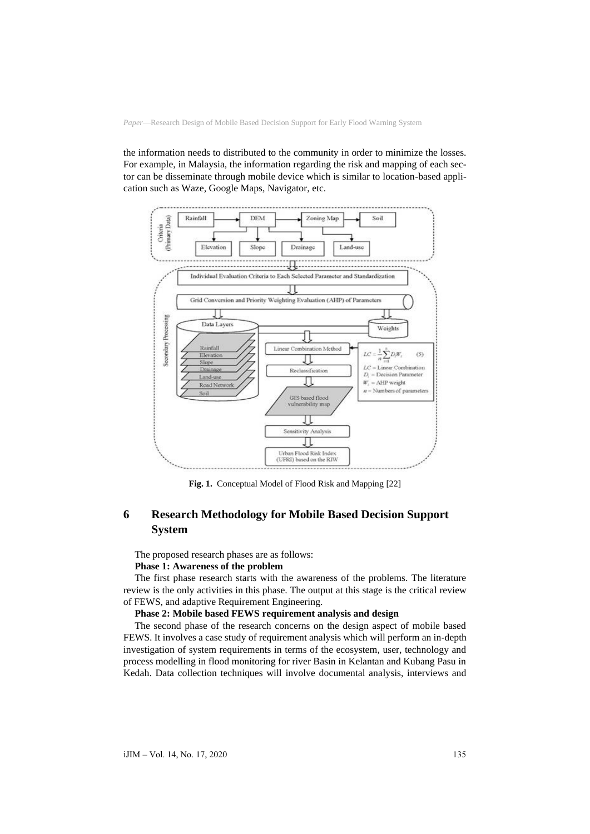the information needs to distributed to the community in order to minimize the losses. For example, in Malaysia, the information regarding the risk and mapping of each sector can be disseminate through mobile device which is similar to location-based application such as Waze, Google Maps, Navigator, etc.



**Fig. 1.** Conceptual Model of Flood Risk and Mapping [22]

## **6 Research Methodology for Mobile Based Decision Support System**

The proposed research phases are as follows:

### **Phase 1: Awareness of the problem**

The first phase research starts with the awareness of the problems. The literature review is the only activities in this phase. The output at this stage is the critical review of FEWS, and adaptive Requirement Engineering.

#### **Phase 2: Mobile based FEWS requirement analysis and design**

The second phase of the research concerns on the design aspect of mobile based FEWS. It involves a case study of requirement analysis which will perform an in-depth investigation of system requirements in terms of the ecosystem, user, technology and process modelling in flood monitoring for river Basin in Kelantan and Kubang Pasu in Kedah. Data collection techniques will involve documental analysis, interviews and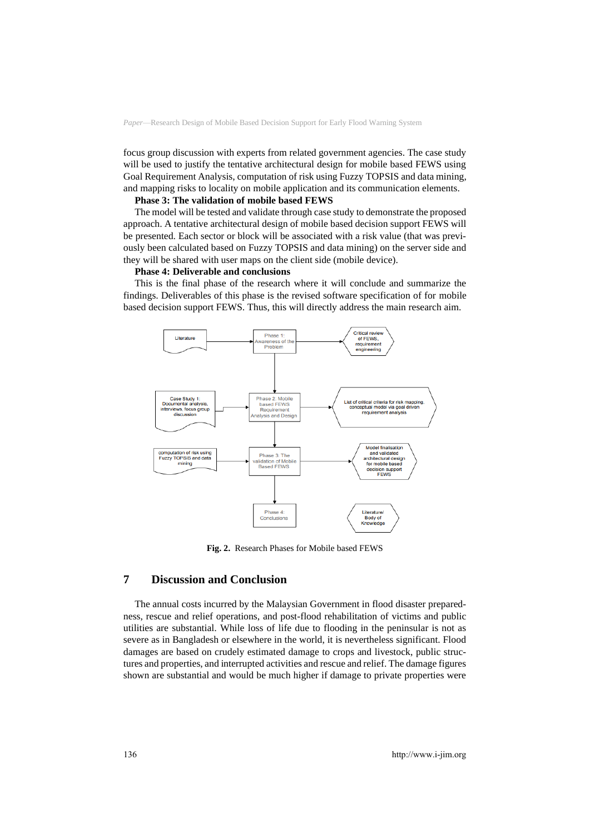focus group discussion with experts from related government agencies. The case study will be used to justify the tentative architectural design for mobile based FEWS using Goal Requirement Analysis, computation of risk using Fuzzy TOPSIS and data mining, and mapping risks to locality on mobile application and its communication elements.

### **Phase 3: The validation of mobile based FEWS**

The model will be tested and validate through case study to demonstrate the proposed approach. A tentative architectural design of mobile based decision support FEWS will be presented. Each sector or block will be associated with a risk value (that was previously been calculated based on Fuzzy TOPSIS and data mining) on the server side and they will be shared with user maps on the client side (mobile device).

#### **Phase 4: Deliverable and conclusions**

This is the final phase of the research where it will conclude and summarize the findings. Deliverables of this phase is the revised software specification of for mobile based decision support FEWS. Thus, this will directly address the main research aim.



**Fig. 2.** Research Phases for Mobile based FEWS

## **7 Discussion and Conclusion**

The annual costs incurred by the Malaysian Government in flood disaster preparedness, rescue and relief operations, and post-flood rehabilitation of victims and public utilities are substantial. While loss of life due to flooding in the peninsular is not as severe as in Bangladesh or elsewhere in the world, it is nevertheless significant. Flood damages are based on crudely estimated damage to crops and livestock, public structures and properties, and interrupted activities and rescue and relief. The damage figures shown are substantial and would be much higher if damage to private properties were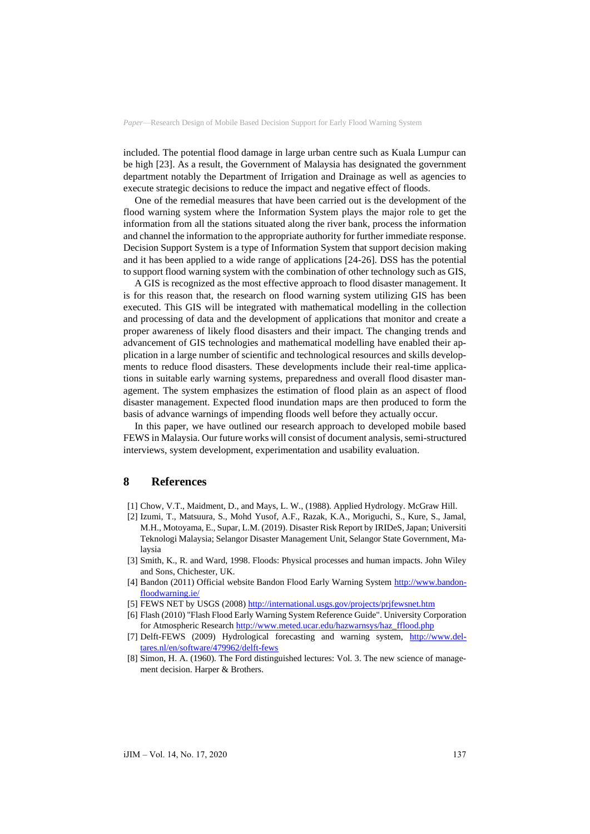included. The potential flood damage in large urban centre such as Kuala Lumpur can be high [23]. As a result, the Government of Malaysia has designated the government department notably the Department of Irrigation and Drainage as well as agencies to execute strategic decisions to reduce the impact and negative effect of floods.

One of the remedial measures that have been carried out is the development of the flood warning system where the Information System plays the major role to get the information from all the stations situated along the river bank, process the information and channel the information to the appropriate authority for further immediate response. Decision Support System is a type of Information System that support decision making and it has been applied to a wide range of applications [24-26]. DSS has the potential to support flood warning system with the combination of other technology such as GIS,

A GIS is recognized as the most effective approach to flood disaster management. It is for this reason that, the research on flood warning system utilizing GIS has been executed. This GIS will be integrated with mathematical modelling in the collection and processing of data and the development of applications that monitor and create a proper awareness of likely flood disasters and their impact. The changing trends and advancement of GIS technologies and mathematical modelling have enabled their application in a large number of scientific and technological resources and skills developments to reduce flood disasters. These developments include their real-time applications in suitable early warning systems, preparedness and overall flood disaster management. The system emphasizes the estimation of flood plain as an aspect of flood disaster management. Expected flood inundation maps are then produced to form the basis of advance warnings of impending floods well before they actually occur.

In this paper, we have outlined our research approach to developed mobile based FEWS in Malaysia. Our future works will consist of document analysis, semi-structured interviews, system development, experimentation and usability evaluation.

### **8 References**

- [1] Chow, V.T., Maidment, D., and Mays, L. W., (1988). Applied Hydrology. McGraw Hill.
- [2] Izumi, T., Matsuura, S., Mohd Yusof, A.F., Razak, K.A., Moriguchi, S., Kure, S., Jamal, M.H., Motoyama, E., Supar, L.M. (2019). Disaster Risk Report by IRIDeS, Japan; Universiti Teknologi Malaysia; Selangor Disaster Management Unit, Selangor State Government, Malaysia
- [3] Smith, K., R. and Ward, 1998. Floods: Physical processes and human impacts. John Wiley and Sons, Chichester, UK.
- [4] Bandon (2011) Official website Bandon Flood Early Warning System [http://www.bandon](http://www.bandonfloodwarning.ie/)[floodwarning.ie/](http://www.bandonfloodwarning.ie/)
- [5] FEWS NET by USGS (2008[\) http://international.usgs.gov/projects/prjfewsnet.htm](http://international.usgs.gov/projects/prjfewsnet.htm)
- [6] Flash (2010) "Flash Flood Early Warning System Reference Guide". University Corporation for Atmospheric Researc[h http://www.meted.ucar.edu/hazwarnsys/haz\\_fflood.php](http://www.meted.ucar.edu/hazwarnsys/haz_fflood.php)
- [7] Delft-FEWS (2009) Hydrological forecasting and warning system, [http://www.del](http://www.deltares.nl/en/software/479962/delft-fews)[tares.nl/en/software/479962/delft-fews](http://www.deltares.nl/en/software/479962/delft-fews)
- [8] Simon, H. A. (1960). The Ford distinguished lectures: Vol. 3. The new science of management decision. Harper & Brothers.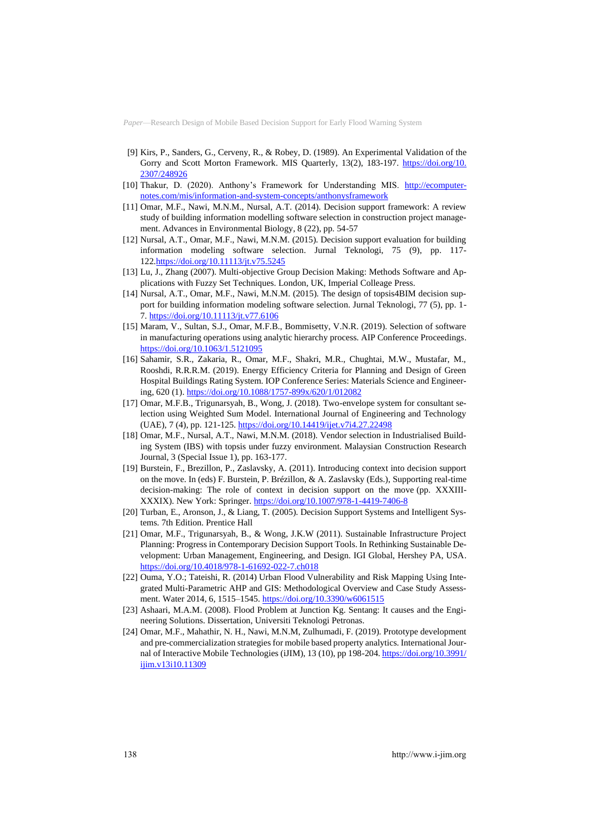- [9] Kirs, P., Sanders, G., Cerveny, R., & Robey, D. (1989). An Experimental Validation of the Gorry and Scott Morton Framework. MIS Quarterly, 13(2), 183-197. [https://doi.org/10.](https://doi.org/10.2307/248926) [2307/248926](https://doi.org/10.2307/248926)
- [10] Thakur, D. (2020). Anthony's Framework for Understanding MIS. [http://ecomputer](http://ecomputernotes.com/mis/information-and-system-concepts/anthonysframework)[notes.com/mis/information-and-system-concepts/anthonysframework](http://ecomputernotes.com/mis/information-and-system-concepts/anthonysframework)
- [11] Omar, M.F., Nawi, M.N.M., Nursal, A.T. (2014). Decision support framework: A review study of building information modelling software selection in construction project management. Advances in Environmental Biology, 8 (22), pp. 54-57
- [12] Nursal, A.T., Omar, M.F., Nawi, M.N.M. (2015). Decision support evaluation for building information modeling software selection. Jurnal Teknologi, 75 (9), pp. 117- 12[2.https://doi.org/10.11113/jt.v75.5245](https://doi.org/10.11113/jt.v75.5245)
- [13] Lu, J., Zhang (2007). Multi-objective Group Decision Making: Methods Software and Applications with Fuzzy Set Techniques. London, UK, Imperial Colleage Press.
- [14] Nursal, A.T., Omar, M.F., Nawi, M.N.M. (2015). The design of topsis4BIM decision support for building information modeling software selection. Jurnal Teknologi, 77 (5), pp. 1- 7. <https://doi.org/10.11113/jt.v77.6106>
- [15] Maram, V., Sultan, S.J., Omar, M.F.B., Bommisetty, V.N.R. (2019). Selection of software in manufacturing operations using analytic hierarchy process. AIP Conference Proceedings. <https://doi.org/10.1063/1.5121095>
- [16] Sahamir, S.R., Zakaria, R., Omar, M.F., Shakri, M.R., Chughtai, M.W., Mustafar, M., Rooshdi, R.R.R.M. (2019). Energy Efficiency Criteria for Planning and Design of Green Hospital Buildings Rating System. IOP Conference Series: Materials Science and Engineering, 620 (1)[. https://doi.org/10.1088/1757-899x/620/1/012082](https://doi.org/10.1088/1757-899x/620/1/012082)
- [17] Omar, M.F.B., Trigunarsyah, B., Wong, J. (2018). Two-envelope system for consultant selection using Weighted Sum Model. International Journal of Engineering and Technology (UAE), 7 (4), pp. 121-125. <https://doi.org/10.14419/ijet.v7i4.27.22498>
- [18] Omar, M.F., Nursal, A.T., Nawi, M.N.M. (2018). Vendor selection in Industrialised Building System (IBS) with topsis under fuzzy environment. Malaysian Construction Research Journal, 3 (Special Issue 1), pp. 163-177.
- [19] Burstein, F., Brezillon, P., Zaslavsky, A. (2011). Introducing context into decision support on the move. In (eds) F. Burstein, P. Brézillon, & A. Zaslavsky (Eds.), Supporting real-time decision-making: The role of context in decision support on the move (pp. XXXIII-XXXIX). New York: Springer. <https://doi.org/10.1007/978-1-4419-7406-8>
- [20] Turban, E., Aronson, J., & Liang, T. (2005). Decision Support Systems and Intelligent Systems. 7th Edition. Prentice Hall
- [21] Omar, M.F., Trigunarsyah, B., & Wong, J.K.W (2011). Sustainable Infrastructure Project Planning: Progress in Contemporary Decision Support Tools. In Rethinking Sustainable Development: Urban Management, Engineering, and Design. IGI Global, Hershey PA, USA. <https://doi.org/10.4018/978-1-61692-022-7.ch018>
- [22] Ouma, Y.O.; Tateishi, R. (2014) Urban Flood Vulnerability and Risk Mapping Using Integrated Multi-Parametric AHP and GIS: Methodological Overview and Case Study Assessment. Water 2014, 6, 1515–1545. <https://doi.org/10.3390/w6061515>
- [23] Ashaari, M.A.M. (2008). Flood Problem at Junction Kg. Sentang: It causes and the Engineering Solutions. Dissertation, Universiti Teknologi Petronas.
- [24] Omar, M.F., Mahathir, N. H., Nawi, M.N.M, Zulhumadi, F. (2019). Prototype development and pre-commercialization strategies for mobile based property analytics. International Journal of Interactive Mobile Technologies (iJIM), 13 (10), pp 198-204. [https://doi.org/10.3991/](https://doi.org/10.3991/ijim.v13i10.11309) [ijim.v13i10.11309](https://doi.org/10.3991/ijim.v13i10.11309)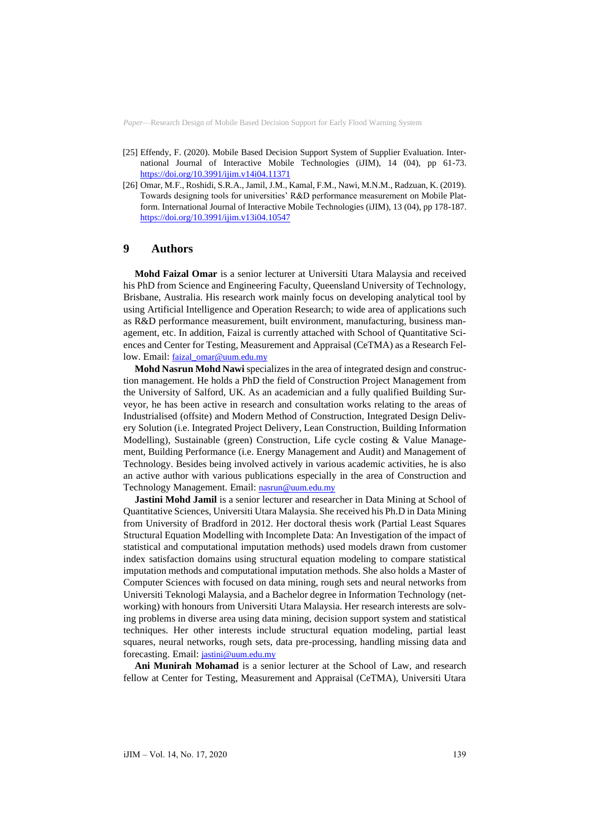- [25] Effendy, F. (2020). Mobile Based Decision Support System of Supplier Evaluation. International Journal of Interactive Mobile Technologies (iJIM), 14 (04), pp 61-73. <https://doi.org/10.3991/ijim.v14i04.11371>
- [26] Omar, M.F., Roshidi, S.R.A., Jamil, J.M., Kamal, F.M., Nawi, M.N.M., Radzuan, K. (2019). Towards designing tools for universities' R&D performance measurement on Mobile Platform. International Journal of Interactive Mobile Technologies (iJIM), 13 (04), pp 178-187. <https://doi.org/10.3991/ijim.v13i04.10547>

## **9 Authors**

**Mohd Faizal Omar** is a senior lecturer at Universiti Utara Malaysia and received his PhD from Science and Engineering Faculty, Queensland University of Technology, Brisbane, Australia. His research work mainly focus on developing analytical tool by using Artificial Intelligence and Operation Research; to wide area of applications such as R&D performance measurement, built environment, manufacturing, business management, etc. In addition, Faizal is currently attached with School of Quantitative Sciences and Center for Testing, Measurement and Appraisal (CeTMA) as a Research Fellow. Email: [faizal\\_omar@uum.edu.my](faizal_omar@uum.edu.my)

**Mohd Nasrun Mohd Nawi** specializes in the area of integrated design and construction management. He holds a PhD the field of Construction Project Management from the University of Salford, UK. As an academician and a fully qualified Building Surveyor, he has been active in research and consultation works relating to the areas of Industrialised (offsite) and Modern Method of Construction, Integrated Design Delivery Solution (i.e. Integrated Project Delivery, Lean Construction, Building Information Modelling), Sustainable (green) Construction, Life cycle costing & Value Management, Building Performance (i.e. Energy Management and Audit) and Management of Technology. Besides being involved actively in various academic activities, he is also an active author with various publications especially in the area of Construction and Technology Management. Email: <nasrun@uum.edu.my>

**Jastini Mohd Jamil** is a senior lecturer and researcher in Data Mining at School of Quantitative Sciences, Universiti Utara Malaysia. She received his Ph.D in Data Mining from University of Bradford in 2012. Her doctoral thesis work (Partial Least Squares Structural Equation Modelling with Incomplete Data: An Investigation of the impact of statistical and computational imputation methods) used models drawn from customer index satisfaction domains using structural equation modeling to compare statistical imputation methods and computational imputation methods. She also holds a Master of Computer Sciences with focused on data mining, rough sets and neural networks from Universiti Teknologi Malaysia, and a Bachelor degree in Information Technology (networking) with honours from Universiti Utara Malaysia. Her research interests are solving problems in diverse area using data mining, decision support system and statistical techniques. Her other interests include structural equation modeling, partial least squares, neural networks, rough sets, data pre-processing, handling missing data and forecasting. Email: [jastini@uum.edu.my](mailto:jastini@uum.edu.my)

**Ani Munirah Mohamad** is a senior lecturer at the School of Law, and research fellow at Center for Testing, Measurement and Appraisal (CeTMA), Universiti Utara